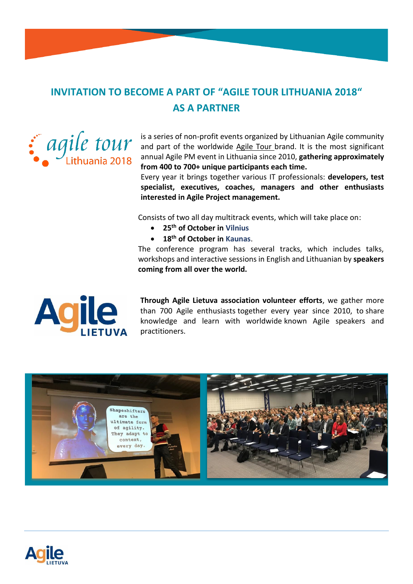# **INVITATION TO BECOME A PART OF "AGILE TOUR LITHUANIA 2018" AS A PARTNER**



is a series of non-profit events organized by Lithuanian Agile community and part of the worldwide [Agile Tour b](http://at2017.agiletour.org/)rand. It is the most significant annual Agile PM event in Lithuania since 2010, **gathering approximately from 400 to 700+ unique participants each time.** 

Every year it brings together various IT professionals: **developers, test specialist, executives, coaches, managers and other enthusiasts interested in Agile Project management.**

Consists of two all day multitrack events, which will take place on:

- **25th of October in Vilnius**
- **18th of October in Kaunas**.

The conference program has several tracks, which includes talks, workshops and interactive sessions in English and Lithuanian by **speakers coming from all over the world.**



**Through Agile Lietuva association volunteer efforts**, we gather more than 700 Agile enthusiasts together every year since 2010, to share knowledge and learn with worldwide known Agile speakers and practitioners.



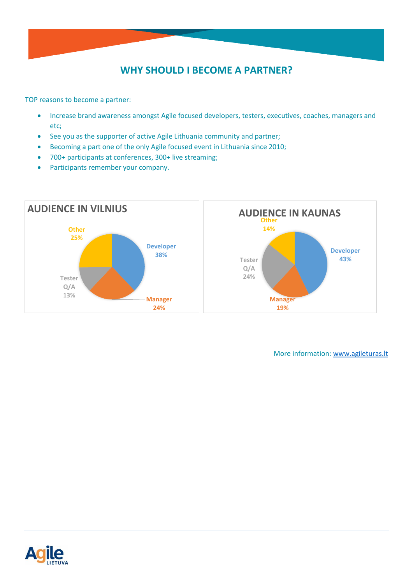## **WHY SHOULD I BECOME A PARTNER?**

TOP reasons to become a partner:

- Increase brand awareness amongst Agile focused developers, testers, executives, coaches, managers and etc;
- See you as the supporter of active Agile Lithuania community and partner;
- Becoming a part one of the only Agile focused event in Lithuania since 2010;
- 700+ participants at conferences, 300+ live streaming;
- Participants remember your company.



More information: [www.agileturas.lt](http://www.agileturas.lt/)

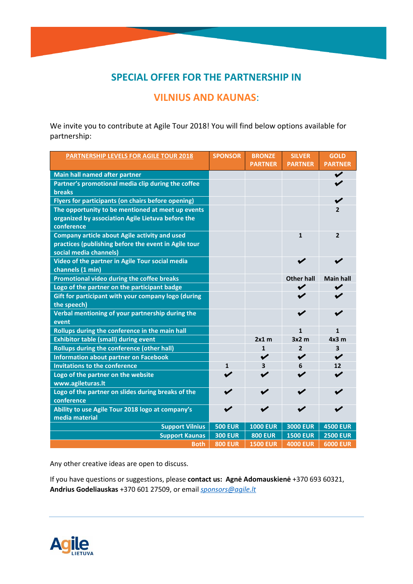### **SPECIAL OFFER FOR THE PARTNERSHIP IN**

#### **VILNIUS AND KAUNAS**:

We invite you to contribute at Agile Tour 2018! You will find below options available for partnership:

| <b>PARTNERSHIP LEVELS FOR AGILE TOUR 2018</b>                       | <b>SPONSOR</b> | <b>BRONZE</b><br><b>PARTNER</b> | <b>SILVER</b><br><b>PARTNER</b> | <b>GOLD</b><br><b>PARTNER</b> |
|---------------------------------------------------------------------|----------------|---------------------------------|---------------------------------|-------------------------------|
|                                                                     |                |                                 |                                 | ✔                             |
| Main hall named after partner                                       |                |                                 |                                 |                               |
| Partner's promotional media clip during the coffee<br><b>breaks</b> |                |                                 |                                 |                               |
|                                                                     |                |                                 |                                 |                               |
| Flyers for participants (on chairs before opening)                  |                |                                 |                                 |                               |
| The opportunity to be mentioned at meet up events                   |                |                                 |                                 | $\overline{2}$                |
| organized by association Agile Lietuva before the<br>conference     |                |                                 |                                 |                               |
| <b>Company article about Agile activity and used</b>                |                |                                 | $\mathbf{1}$                    | $\overline{2}$                |
| practices (publishing before the event in Agile tour                |                |                                 |                                 |                               |
| social media channels)                                              |                |                                 |                                 |                               |
| Video of the partner in Agile Tour social media                     |                |                                 |                                 |                               |
| channels (1 min)                                                    |                |                                 |                                 |                               |
| Promotional video during the coffee breaks                          |                |                                 | <b>Other hall</b>               | <b>Main hall</b>              |
| Logo of the partner on the participant badge                        |                |                                 | ✔                               |                               |
| Gift for participant with your company logo (during                 |                |                                 | ✔                               |                               |
| the speech)                                                         |                |                                 |                                 |                               |
| Verbal mentioning of your partnership during the<br>event           |                |                                 |                                 |                               |
| Rollups during the conference in the main hall                      |                |                                 | $\mathbf{1}$                    | $\mathbf{1}$                  |
| <b>Exhibitor table (small) during event</b>                         |                | $2x1$ m                         | 3x2m                            | 4x3m                          |
| Rollups during the conference (other hall)                          |                | 1                               | $\overline{2}$                  | 3                             |
| <b>Information about partner on Facebook</b>                        |                | $\checkmark$                    | $\checkmark$                    | $\blacktriangleright$         |
| <b>Invitations to the conference</b>                                | $\mathbf{1}$   | 3                               | 6                               | 12                            |
| Logo of the partner on the website                                  |                |                                 |                                 |                               |
| www.agileturas.lt                                                   |                |                                 |                                 |                               |
| Logo of the partner on slides during breaks of the                  |                |                                 |                                 |                               |
| conference                                                          |                |                                 |                                 |                               |
| Ability to use Agile Tour 2018 logo at company's                    |                |                                 |                                 |                               |
| media material                                                      |                |                                 |                                 |                               |
| <b>Support Vilnius</b>                                              | <b>500 EUR</b> | <b>1000 EUR</b>                 | <b>3000 EUR</b>                 | <b>4500 EUR</b>               |
| <b>Support Kaunas</b>                                               | <b>300 EUR</b> | <b>800 EUR</b>                  | <b>1500 EUR</b>                 | <b>2500 EUR</b>               |
| <b>Both</b>                                                         | <b>800 EUR</b> | <b>1500 EUR</b>                 | <b>4000 EUR</b>                 | <b>6000 EUR</b>               |

Any other creative ideas are open to discuss.

If you have questions or suggestions, please **contact us: Agnė Adomauskienė** +370 693 60321, **Andrius Godeliauskas** +370 601 27509, or email *[sponsors@agile.lt](mailto:sponsors@agile.lt)*

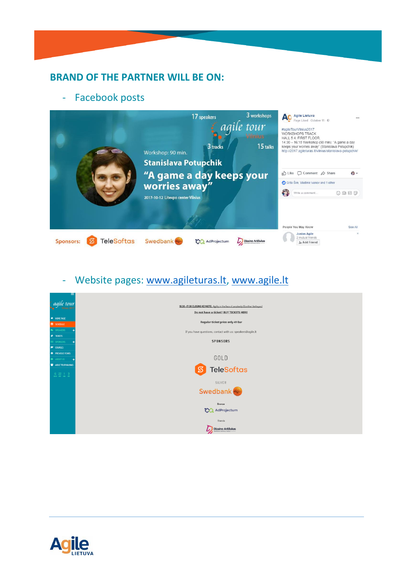#### **BRAND OF THE PARTNER WILL BE ON:**

#### - Facebook posts



# - Website pages: [www.agileturas.lt,](http://www.agileturas.lt/) [www.agile.lt](http://www.agile.lt/)



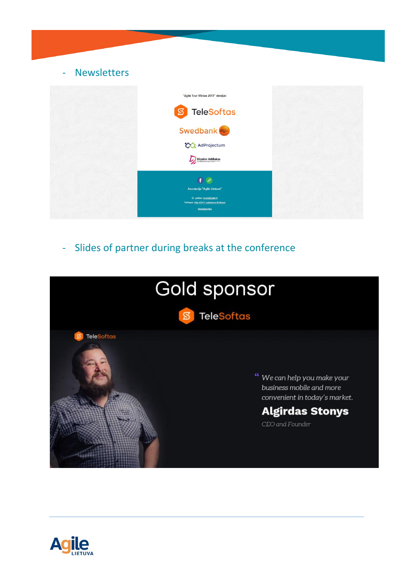

- Slides of partner during breaks at the conference